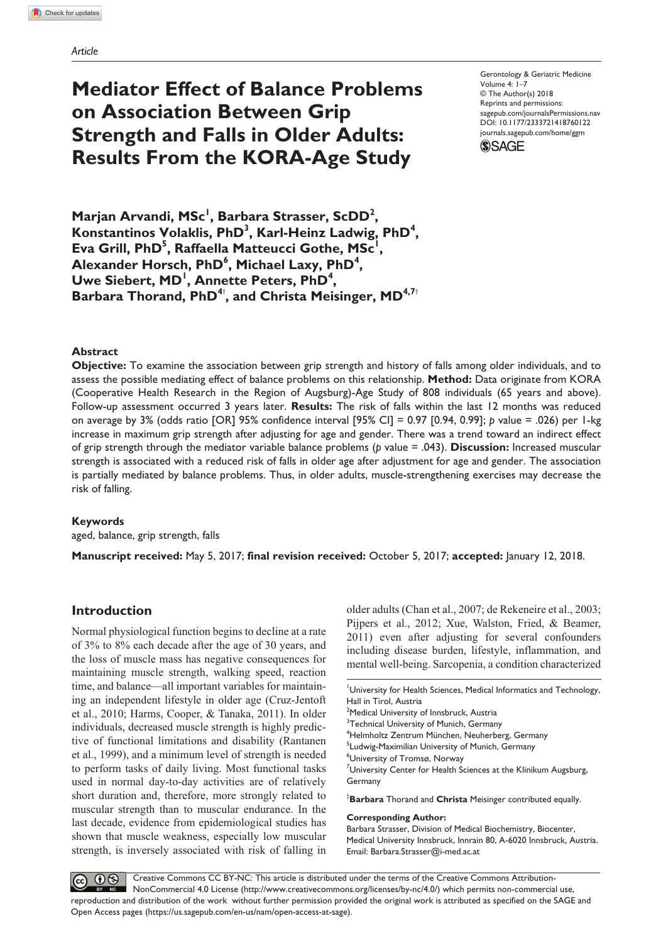*Article*

# **Mediator Effect of Balance Problems on Association Between Grip Strength and Falls in Older Adults: Results From the KORA-Age Study**

https://doi.org/10.1177/2333721418760122 DOI: 10.1177/2333721418760122 Gerontology & Geriatric Medicine Volume 4: 1–7 © The Author(s) 2018 Reprints and permissions: [sagepub.com/journalsPermissions.nav](https://us.sagepub.com/en-us/journals-permissions) [journals.sagepub.com/home/ggm](https://journals.sagepub.com/home/ggm)



Marjan Arvandi, MSc<sup>I</sup>, Barbara Strasser, ScDD<sup>2</sup>, Konstantinos Volaklis, PhD<sup>3</sup>, Karl-Heinz Ladwig, PhD<sup>4</sup>, Eva Grill, PhD<sup>5</sup>, Raffaella Matteucci Gothe, MSc<sup>1</sup>, Alexander Horsch, PhD<sup>6</sup>, Michael Laxy, PhD<sup>4</sup>, Uwe Siebert, MD<sup>1</sup>, Annette Peters, PhD<sup>4</sup>,  $\mathsf{Barbara}$  Thorand,  $\mathsf{PhD}^{4\dagger}$ , and Christa Meisinger,  $\mathsf{MD}^{4,7\dagger}$ 

#### **Abstract**

**Objective:** To examine the association between grip strength and history of falls among older individuals, and to assess the possible mediating effect of balance problems on this relationship. **Method:** Data originate from KORA (Cooperative Health Research in the Region of Augsburg)-Age Study of 808 individuals (65 years and above). Follow-up assessment occurred 3 years later. **Results:** The risk of falls within the last 12 months was reduced on average by 3% (odds ratio [OR] 95% confidence interval [95% CI] = 0.97 [0.94, 0.99]; *p* value = .026) per 1-kg increase in maximum grip strength after adjusting for age and gender. There was a trend toward an indirect effect of grip strength through the mediator variable balance problems (*p* value = .043). **Discussion:** Increased muscular strength is associated with a reduced risk of falls in older age after adjustment for age and gender. The association is partially mediated by balance problems. Thus, in older adults, muscle-strengthening exercises may decrease the risk of falling.

#### **Keywords**

aged, balance, grip strength, falls

**Manuscript received:** May 5, 2017; **final revision received:** October 5, 2017; **accepted:** January 12, 2018.

# **Introduction**

Normal physiological function begins to decline at a rate of 3% to 8% each decade after the age of 30 years, and the loss of muscle mass has negative consequences for maintaining muscle strength, walking speed, reaction time, and balance—all important variables for maintaining an independent lifestyle in older age (Cruz-Jentoft et al., 2010; Harms, Cooper, & Tanaka, 2011). In older individuals, decreased muscle strength is highly predictive of functional limitations and disability (Rantanen et al., 1999), and a minimum level of strength is needed to perform tasks of daily living. Most functional tasks used in normal day-to-day activities are of relatively short duration and, therefore, more strongly related to muscular strength than to muscular endurance. In the last decade, evidence from epidemiological studies has shown that muscle weakness, especially low muscular strength, is inversely associated with risk of falling in

older adults (Chan et al., 2007; de Rekeneire et al., 2003; Pijpers et al., 2012; Xue, Walston, Fried, & Beamer, 2011) even after adjusting for several confounders including disease burden, lifestyle, inflammation, and mental well-being. Sarcopenia, a condition characterized

- $^2$ Medical University of Innsbruck, Austria
- $^3$ Technical University of Munich, Germany

4 Helmholtz Zentrum München, Neuherberg, Germany

- <sup>5</sup>Ludwig-Maximilian University of Munich, Germany
- 6 University of Tromsø, Norway

 $7$ University Center for Health Sciences at the Klinikum Augsburg, Germany

† **Barbara** Thorand and **Christa** Meisinger contributed equally.

#### **Corresponding Author:**

Barbara Strasser, Division of Medical Biochemistry, Biocenter, Medical University Innsbruck, Innrain 80, A-6020 Innsbruck, Austria. Email: [Barbara.Strasser@i-med.ac.at](mailto:Barbara.Strasser@i-med.ac.at)

Creative Commons CC BY-NC: This article is distributed under the terms of the Creative Commons Attribution-<u>@ 00</u> NonCommercial 4.0 License (http://www.creativecommons.org/licenses/by-nc/4.0/) which permits non-commercial use, reproduction and distribution of the work without further permission provided the original work is attributed as specified on the SAGE and Open Access pages (https://us.sagepub.com/en-us/nam/open-access-at-sage).

University for Health Sciences, Medical Informatics and Technology, Hall in Tirol, Austria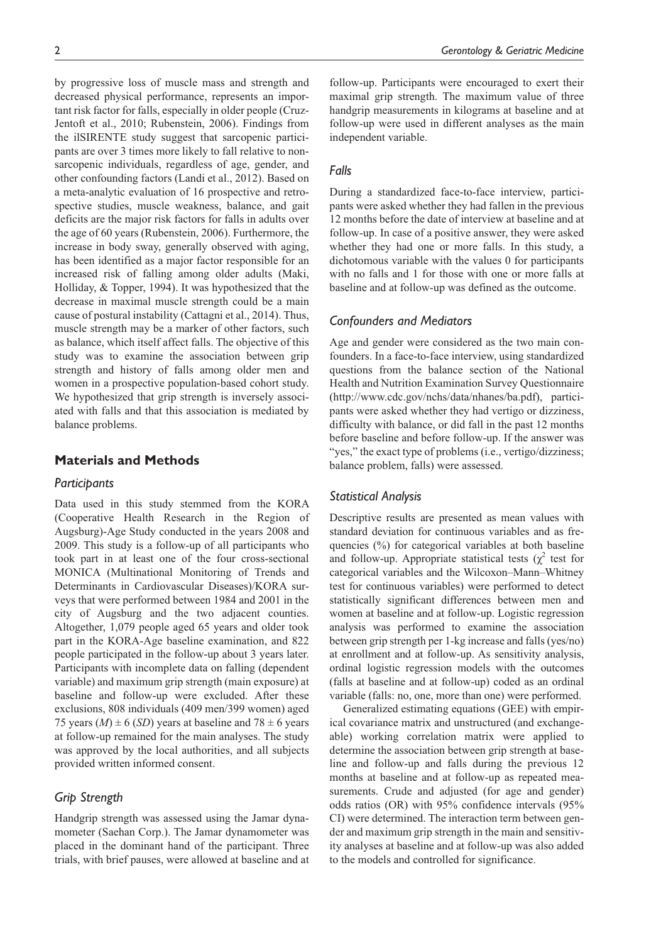by progressive loss of muscle mass and strength and decreased physical performance, represents an important risk factor for falls, especially in older people (Cruz-Jentoft et al., 2010; Rubenstein, 2006). Findings from the ilSIRENTE study suggest that sarcopenic participants are over 3 times more likely to fall relative to nonsarcopenic individuals, regardless of age, gender, and other confounding factors (Landi et al., 2012). Based on a meta-analytic evaluation of 16 prospective and retrospective studies, muscle weakness, balance, and gait deficits are the major risk factors for falls in adults over the age of 60 years (Rubenstein, 2006). Furthermore, the increase in body sway, generally observed with aging, has been identified as a major factor responsible for an increased risk of falling among older adults (Maki, Holliday, & Topper, 1994). It was hypothesized that the decrease in maximal muscle strength could be a main cause of postural instability (Cattagni et al., 2014). Thus, muscle strength may be a marker of other factors, such as balance, which itself affect falls. The objective of this study was to examine the association between grip strength and history of falls among older men and women in a prospective population-based cohort study. We hypothesized that grip strength is inversely associated with falls and that this association is mediated by balance problems.

# **Materials and Methods**

#### *Participants*

Data used in this study stemmed from the KORA (Cooperative Health Research in the Region of Augsburg)-Age Study conducted in the years 2008 and 2009. This study is a follow-up of all participants who took part in at least one of the four cross-sectional MONICA (Multinational Monitoring of Trends and Determinants in Cardiovascular Diseases)/KORA surveys that were performed between 1984 and 2001 in the city of Augsburg and the two adjacent counties. Altogether, 1,079 people aged 65 years and older took part in the KORA-Age baseline examination, and 822 people participated in the follow-up about 3 years later. Participants with incomplete data on falling (dependent variable) and maximum grip strength (main exposure) at baseline and follow-up were excluded. After these exclusions, 808 individuals (409 men/399 women) aged 75 years  $(M) \pm 6$  (*SD*) years at baseline and 78  $\pm$  6 years at follow-up remained for the main analyses. The study was approved by the local authorities, and all subjects provided written informed consent.

# *Grip Strength*

Handgrip strength was assessed using the Jamar dynamometer (Saehan Corp.). The Jamar dynamometer was placed in the dominant hand of the participant. Three trials, with brief pauses, were allowed at baseline and at follow-up. Participants were encouraged to exert their maximal grip strength. The maximum value of three handgrip measurements in kilograms at baseline and at follow-up were used in different analyses as the main independent variable.

# *Falls*

During a standardized face-to-face interview, participants were asked whether they had fallen in the previous 12 months before the date of interview at baseline and at follow-up. In case of a positive answer, they were asked whether they had one or more falls. In this study, a dichotomous variable with the values 0 for participants with no falls and 1 for those with one or more falls at baseline and at follow-up was defined as the outcome.

## *Confounders and Mediators*

Age and gender were considered as the two main confounders. In a face-to-face interview, using standardized questions from the balance section of the National Health and Nutrition Examination Survey Questionnaire ([http://www.cdc.gov/nchs/data/nhanes/ba.pdf\)](http://www.cdc.gov/nchs/data/nhanes/ba.pdf), participants were asked whether they had vertigo or dizziness, difficulty with balance, or did fall in the past 12 months before baseline and before follow-up. If the answer was "yes," the exact type of problems (i.e., vertigo/dizziness; balance problem, falls) were assessed.

### *Statistical Analysis*

Descriptive results are presented as mean values with standard deviation for continuous variables and as frequencies (%) for categorical variables at both baseline and follow-up. Appropriate statistical tests  $(\chi^2)$  test for categorical variables and the Wilcoxon–Mann–Whitney test for continuous variables) were performed to detect statistically significant differences between men and women at baseline and at follow-up. Logistic regression analysis was performed to examine the association between grip strength per 1-kg increase and falls (yes/no) at enrollment and at follow-up. As sensitivity analysis, ordinal logistic regression models with the outcomes (falls at baseline and at follow-up) coded as an ordinal variable (falls: no, one, more than one) were performed.

Generalized estimating equations (GEE) with empirical covariance matrix and unstructured (and exchangeable) working correlation matrix were applied to determine the association between grip strength at baseline and follow-up and falls during the previous 12 months at baseline and at follow-up as repeated measurements. Crude and adjusted (for age and gender) odds ratios (OR) with 95% confidence intervals (95% CI) were determined. The interaction term between gender and maximum grip strength in the main and sensitivity analyses at baseline and at follow-up was also added to the models and controlled for significance.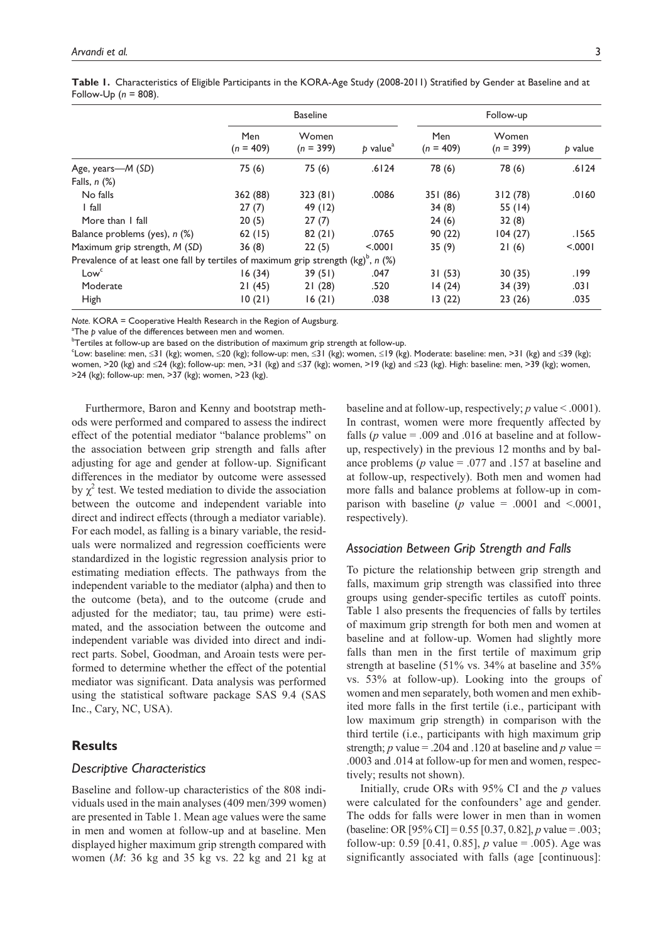|                                                                                            | <b>Baseline</b>    |                      |                        | Follow-up          |                      |         |
|--------------------------------------------------------------------------------------------|--------------------|----------------------|------------------------|--------------------|----------------------|---------|
|                                                                                            | Men<br>$(n = 409)$ | Women<br>$(n = 399)$ | $b$ value <sup>a</sup> | Men<br>$(n = 409)$ | Women<br>$(n = 399)$ | p value |
| Age, years—M (SD)                                                                          | 75(6)              | 75 (6)               | .6124                  | 78 (6)             | 78 (6)               | .6124   |
| Falls, $n$ $(\%)$                                                                          |                    |                      |                        |                    |                      |         |
| No falls                                                                                   | 362 (88)           | 323(81)              | .0086                  | 351 (86)           | 312(78)              | .0160   |
| $\mathsf{I}$ fall                                                                          | 27(7)              | 49 (12)              |                        | 34(8)              | 55 (14)              |         |
| More than I fall                                                                           | 20(5)              | 27(7)                |                        | 24(6)              | 32(8)                |         |
| Balance problems (yes), n (%)                                                              | 62(15)             | 82(21)               | .0765                  | 90(22)             | 104(27)              | .1565   |
| Maximum grip strength, M (SD)                                                              | 36(8)              | 22(5)                | < 0001                 | 35(9)              | 21(6)                | < 0001  |
| Prevalence of at least one fall by tertiles of maximum grip strength $(kg)^{b}$ , n $(\%)$ |                    |                      |                        |                    |                      |         |
| Low <sup>c</sup>                                                                           | 16(34)             | 39(51)               | .047                   | 31(53)             | 30(35)               | .199    |
| Moderate                                                                                   | 21(45)             | 21(28)               | .520                   | 14(24)             | 34 (39)              | .031    |
| High                                                                                       | 10(21)             | 16(21)               | .038                   | 13(22)             | 23(26)               | .035    |

**Table 1.** Characteristics of Eligible Participants in the KORA-Age Study (2008-2011) Stratified by Gender at Baseline and at Follow- $Up (n = 808)$ .

*Note.* KORA = Cooperative Health Research in the Region of Augsburg.

<sup>a</sup>The *p* value of the differences between men and women.

 $^{\rm b}$ Tertiles at follow-up are based on the distribution of maximum grip strength at follow-up.

c Low: baseline: men, ≤31 (kg); women, ≤20 (kg); follow-up: men, ≤31 (kg); women, ≤19 (kg). Moderate: baseline: men, >31 (kg) and ≤39 (kg); women, >20 (kg) and ≤24 (kg); follow-up: men, >31 (kg) and ≤37 (kg); women, >19 (kg) and ≤23 (kg). High: baseline: men, >39 (kg); women, >24 (kg); follow-up: men, >37 (kg); women, >23 (kg).

Furthermore, Baron and Kenny and bootstrap methods were performed and compared to assess the indirect effect of the potential mediator "balance problems" on the association between grip strength and falls after adjusting for age and gender at follow-up. Significant differences in the mediator by outcome were assessed by  $\chi^2$  test. We tested mediation to divide the association between the outcome and independent variable into direct and indirect effects (through a mediator variable). For each model, as falling is a binary variable, the residuals were normalized and regression coefficients were standardized in the logistic regression analysis prior to estimating mediation effects. The pathways from the independent variable to the mediator (alpha) and then to the outcome (beta), and to the outcome (crude and adjusted for the mediator; tau, tau prime) were estimated, and the association between the outcome and independent variable was divided into direct and indirect parts. Sobel, Goodman, and Aroain tests were performed to determine whether the effect of the potential mediator was significant. Data analysis was performed using the statistical software package SAS 9.4 (SAS Inc., Cary, NC, USA).

# **Results**

#### *Descriptive Characteristics*

Baseline and follow-up characteristics of the 808 individuals used in the main analyses (409 men/399 women) are presented in Table 1. Mean age values were the same in men and women at follow-up and at baseline. Men displayed higher maximum grip strength compared with women (*M*: 36 kg and 35 kg vs. 22 kg and 21 kg at

baseline and at follow-up, respectively;  $p$  value  $\leq 0.0001$ ). In contrast, women were more frequently affected by falls ( $p$  value = .009 and .016 at baseline and at followup, respectively) in the previous 12 months and by balance problems ( $p$  value = .077 and .157 at baseline and at follow-up, respectively). Both men and women had more falls and balance problems at follow-up in comparison with baseline ( $p$  value = .0001 and <.0001, respectively).

#### *Association Between Grip Strength and Falls*

To picture the relationship between grip strength and falls, maximum grip strength was classified into three groups using gender-specific tertiles as cutoff points. Table 1 also presents the frequencies of falls by tertiles of maximum grip strength for both men and women at baseline and at follow-up. Women had slightly more falls than men in the first tertile of maximum grip strength at baseline (51% vs. 34% at baseline and 35% vs. 53% at follow-up). Looking into the groups of women and men separately, both women and men exhibited more falls in the first tertile (i.e., participant with low maximum grip strength) in comparison with the third tertile (i.e., participants with high maximum grip strength;  $p$  value = .204 and .120 at baseline and  $p$  value = .0003 and .014 at follow-up for men and women, respectively; results not shown).

Initially, crude ORs with 95% CI and the *p* values were calculated for the confounders' age and gender. The odds for falls were lower in men than in women (baseline: OR [95% CI] = 0.55 [0.37, 0.82], *p* value = .003; follow-up: 0.59 [0.41, 0.85], *p* value = .005). Age was significantly associated with falls (age [continuous]: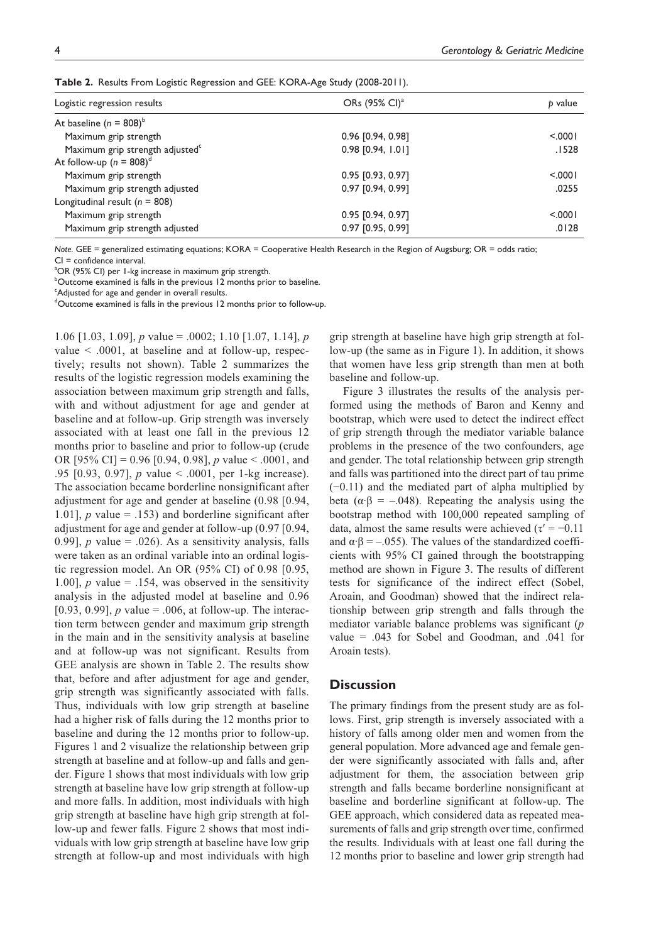| Table 2. Results From Logistic Regression and GEE: KORA-Age Study (2008-2011). |  |  |  |
|--------------------------------------------------------------------------------|--|--|--|
|--------------------------------------------------------------------------------|--|--|--|

| ORs (95% CI) <sup>a</sup><br>Logistic regression results           | p value |  |
|--------------------------------------------------------------------|---------|--|
| At baseline ( $n = 808$ ) <sup>b</sup>                             |         |  |
| Maximum grip strength<br>0.96 [0.94, 0.98]                         | < .0001 |  |
| $0.98$ [0.94, 1.01]<br>Maximum grip strength adjusted <sup>c</sup> | .1528   |  |
| At follow-up $(n = 808)^d$                                         |         |  |
| $0.95$ [0.93, 0.97]<br>Maximum grip strength                       | < 0001  |  |
| 0.97 [0.94, 0.99]<br>Maximum grip strength adjusted                | .0255   |  |
| Longitudinal result ( $n = 808$ )                                  |         |  |
| Maximum grip strength<br>$0.95$ [0.94, 0.97]                       | < 0.001 |  |
| $0.97$ [0.95, 0.99]<br>Maximum grip strength adjusted              | .0128   |  |

*Note.* GEE = generalized estimating equations; KORA = Cooperative Health Research in the Region of Augsburg; OR = odds ratio; CI = confidence interval.

<sup>a</sup>OR (95% CI) per 1-kg increase in maximum grip strength. <sup>b</sup>Outcome examined is falls in the previous 12 months prior to baseline.

<sup>c</sup>Adjusted for age and gender in overall results.

<sup>d</sup>Outcome examined is falls in the previous 12 months prior to follow-up.

1.06 [1.03, 1.09], *p* value = .0002; 1.10 [1.07, 1.14], *p* value  $\leq$  .0001, at baseline and at follow-up, respectively; results not shown). Table 2 summarizes the results of the logistic regression models examining the association between maximum grip strength and falls, with and without adjustment for age and gender at baseline and at follow-up. Grip strength was inversely associated with at least one fall in the previous 12 months prior to baseline and prior to follow-up (crude OR [95% CI] = 0.96 [0.94, 0.98], *p* value < .0001, and .95 [0.93, 0.97], *p* value < .0001, per 1-kg increase). The association became borderline nonsignificant after adjustment for age and gender at baseline (0.98 [0.94, 1.01],  $p$  value = .153) and borderline significant after adjustment for age and gender at follow-up (0.97 [0.94, 0.99],  $p$  value = .026). As a sensitivity analysis, falls were taken as an ordinal variable into an ordinal logistic regression model. An OR (95% CI) of 0.98 [0.95, 1.00],  $p$  value = .154, was observed in the sensitivity analysis in the adjusted model at baseline and 0.96 [0.93, 0.99], *p* value = .006, at follow-up. The interaction term between gender and maximum grip strength in the main and in the sensitivity analysis at baseline and at follow-up was not significant. Results from GEE analysis are shown in Table 2. The results show that, before and after adjustment for age and gender, grip strength was significantly associated with falls. Thus, individuals with low grip strength at baseline had a higher risk of falls during the 12 months prior to baseline and during the 12 months prior to follow-up. Figures 1 and 2 visualize the relationship between grip strength at baseline and at follow-up and falls and gender. Figure 1 shows that most individuals with low grip strength at baseline have low grip strength at follow-up and more falls. In addition, most individuals with high grip strength at baseline have high grip strength at follow-up and fewer falls. Figure 2 shows that most individuals with low grip strength at baseline have low grip strength at follow-up and most individuals with high

grip strength at baseline have high grip strength at follow-up (the same as in Figure 1). In addition, it shows that women have less grip strength than men at both baseline and follow-up.

Figure 3 illustrates the results of the analysis performed using the methods of Baron and Kenny and bootstrap, which were used to detect the indirect effect of grip strength through the mediator variable balance problems in the presence of the two confounders, age and gender. The total relationship between grip strength and falls was partitioned into the direct part of tau prime (−0.11) and the mediated part of alpha multiplied by beta ( $\alpha \cdot \beta$  = -.048). Repeating the analysis using the bootstrap method with 100,000 repeated sampling of data, almost the same results were achieved ( $\tau' = -0.11$ ) and  $\alpha \cdot \beta = -.055$ ). The values of the standardized coefficients with 95% CI gained through the bootstrapping method are shown in Figure 3. The results of different tests for significance of the indirect effect (Sobel, Aroain, and Goodman) showed that the indirect relationship between grip strength and falls through the mediator variable balance problems was significant (*p* value = .043 for Sobel and Goodman, and .041 for Aroain tests).

#### **Discussion**

The primary findings from the present study are as follows. First, grip strength is inversely associated with a history of falls among older men and women from the general population. More advanced age and female gender were significantly associated with falls and, after adjustment for them, the association between grip strength and falls became borderline nonsignificant at baseline and borderline significant at follow-up. The GEE approach, which considered data as repeated measurements of falls and grip strength over time, confirmed the results. Individuals with at least one fall during the 12 months prior to baseline and lower grip strength had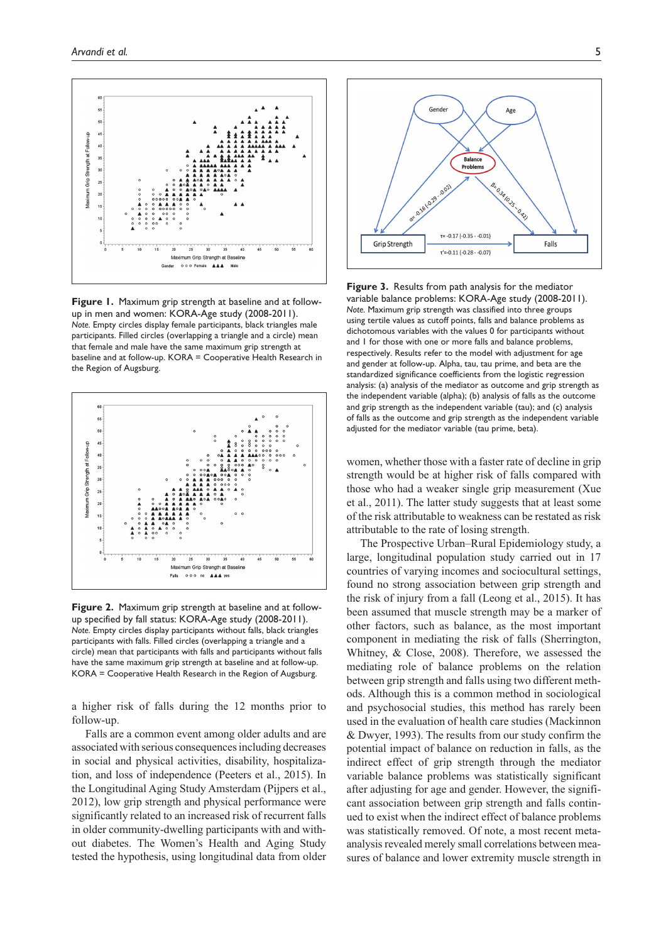

**Figure 1.** Maximum grip strength at baseline and at followup in men and women: KORA-Age study (2008-2011). *Note.* Empty circles display female participants, black triangles male participants. Filled circles (overlapping a triangle and a circle) mean that female and male have the same maximum grip strength at baseline and at follow-up. KORA = Cooperative Health Research in the Region of Augsburg.



**Figure 2.** Maximum grip strength at baseline and at followup specified by fall status: KORA-Age study (2008-2011). *Note.* Empty circles display participants without falls, black triangles participants with falls. Filled circles (overlapping a triangle and a circle) mean that participants with falls and participants without falls have the same maximum grip strength at baseline and at follow-up. KORA = Cooperative Health Research in the Region of Augsburg.

a higher risk of falls during the 12 months prior to follow-up.

Falls are a common event among older adults and are associated with serious consequences including decreases in social and physical activities, disability, hospitalization, and loss of independence (Peeters et al., 2015). In the Longitudinal Aging Study Amsterdam (Pijpers et al., 2012), low grip strength and physical performance were significantly related to an increased risk of recurrent falls in older community-dwelling participants with and without diabetes. The Women's Health and Aging Study tested the hypothesis, using longitudinal data from older



**Figure 3.** Results from path analysis for the mediator variable balance problems: KORA-Age study (2008-2011). *Note.* Maximum grip strength was classified into three groups using tertile values as cutoff points, falls and balance problems as dichotomous variables with the values 0 for participants without and 1 for those with one or more falls and balance problems, respectively. Results refer to the model with adjustment for age and gender at follow-up. Alpha, tau, tau prime, and beta are the standardized significance coefficients from the logistic regression analysis: (a) analysis of the mediator as outcome and grip strength as the independent variable (alpha); (b) analysis of falls as the outcome and grip strength as the independent variable (tau); and (c) analysis of falls as the outcome and grip strength as the independent variable adjusted for the mediator variable (tau prime, beta).

women, whether those with a faster rate of decline in grip strength would be at higher risk of falls compared with those who had a weaker single grip measurement (Xue et al., 2011). The latter study suggests that at least some of the risk attributable to weakness can be restated as risk attributable to the rate of losing strength.

The Prospective Urban–Rural Epidemiology study, a large, longitudinal population study carried out in 17 countries of varying incomes and sociocultural settings, found no strong association between grip strength and the risk of injury from a fall (Leong et al., 2015). It has been assumed that muscle strength may be a marker of other factors, such as balance, as the most important component in mediating the risk of falls (Sherrington, Whitney, & Close, 2008). Therefore, we assessed the mediating role of balance problems on the relation between grip strength and falls using two different methods. Although this is a common method in sociological and psychosocial studies, this method has rarely been used in the evaluation of health care studies (Mackinnon & Dwyer, 1993). The results from our study confirm the potential impact of balance on reduction in falls, as the indirect effect of grip strength through the mediator variable balance problems was statistically significant after adjusting for age and gender. However, the significant association between grip strength and falls continued to exist when the indirect effect of balance problems was statistically removed. Of note, a most recent metaanalysis revealed merely small correlations between measures of balance and lower extremity muscle strength in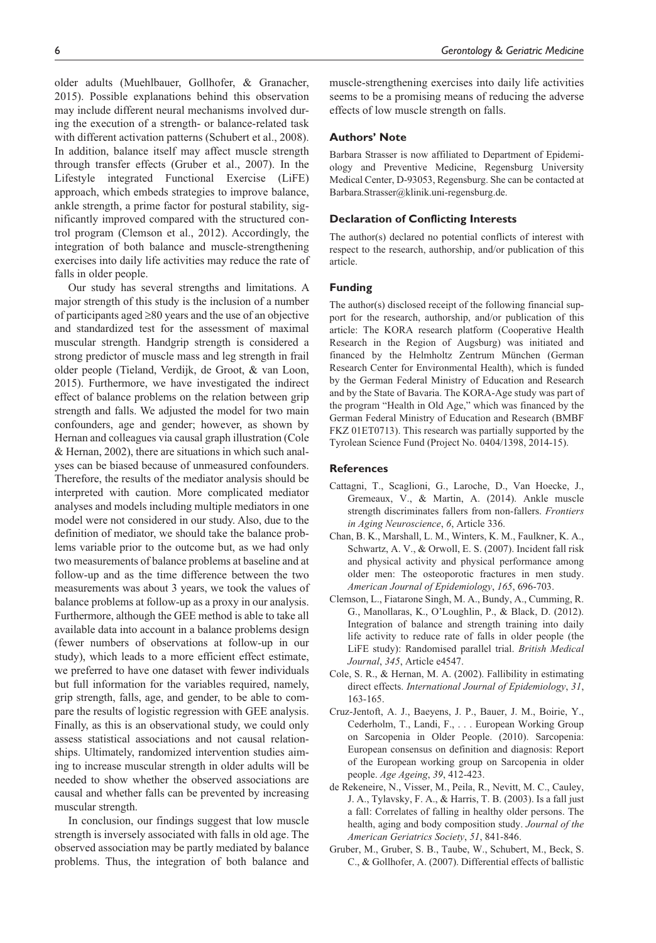older adults (Muehlbauer, Gollhofer, & Granacher, 2015). Possible explanations behind this observation may include different neural mechanisms involved during the execution of a strength- or balance-related task with different activation patterns (Schubert et al., 2008). In addition, balance itself may affect muscle strength through transfer effects (Gruber et al., 2007). In the Lifestyle integrated Functional Exercise (LiFE) approach, which embeds strategies to improve balance, ankle strength, a prime factor for postural stability, significantly improved compared with the structured control program (Clemson et al., 2012). Accordingly, the integration of both balance and muscle-strengthening exercises into daily life activities may reduce the rate of falls in older people.

Our study has several strengths and limitations. A major strength of this study is the inclusion of a number of participants aged ≥80 years and the use of an objective and standardized test for the assessment of maximal muscular strength. Handgrip strength is considered a strong predictor of muscle mass and leg strength in frail older people (Tieland, Verdijk, de Groot, & van Loon, 2015). Furthermore, we have investigated the indirect effect of balance problems on the relation between grip strength and falls. We adjusted the model for two main confounders, age and gender; however, as shown by Hernan and colleagues via causal graph illustration (Cole & Hernan, 2002), there are situations in which such analyses can be biased because of unmeasured confounders. Therefore, the results of the mediator analysis should be interpreted with caution. More complicated mediator analyses and models including multiple mediators in one model were not considered in our study. Also, due to the definition of mediator, we should take the balance problems variable prior to the outcome but, as we had only two measurements of balance problems at baseline and at follow-up and as the time difference between the two measurements was about 3 years, we took the values of balance problems at follow-up as a proxy in our analysis. Furthermore, although the GEE method is able to take all available data into account in a balance problems design (fewer numbers of observations at follow-up in our study), which leads to a more efficient effect estimate, we preferred to have one dataset with fewer individuals but full information for the variables required, namely, grip strength, falls, age, and gender, to be able to compare the results of logistic regression with GEE analysis. Finally, as this is an observational study, we could only assess statistical associations and not causal relationships. Ultimately, randomized intervention studies aiming to increase muscular strength in older adults will be needed to show whether the observed associations are causal and whether falls can be prevented by increasing muscular strength.

In conclusion, our findings suggest that low muscle strength is inversely associated with falls in old age. The observed association may be partly mediated by balance problems. Thus, the integration of both balance and muscle-strengthening exercises into daily life activities seems to be a promising means of reducing the adverse effects of low muscle strength on falls.

### **Authors' Note**

Barbara Strasser is now affiliated to Department of Epidemiology and Preventive Medicine, Regensburg University Medical Center, D-93053, Regensburg. She can be contacted at Barbara.Strasser@klinik.uni-regensburg.de.

#### **Declaration of Conflicting Interests**

The author(s) declared no potential conflicts of interest with respect to the research, authorship, and/or publication of this article.

#### **Funding**

The author(s) disclosed receipt of the following financial support for the research, authorship, and/or publication of this article: The KORA research platform (Cooperative Health Research in the Region of Augsburg) was initiated and financed by the Helmholtz Zentrum München (German Research Center for Environmental Health), which is funded by the German Federal Ministry of Education and Research and by the State of Bavaria. The KORA-Age study was part of the program "Health in Old Age," which was financed by the German Federal Ministry of Education and Research (BMBF FKZ 01ET0713). This research was partially supported by the Tyrolean Science Fund (Project No. 0404/1398, 2014-15).

#### **References**

- Cattagni, T., Scaglioni, G., Laroche, D., Van Hoecke, J., Gremeaux, V., & Martin, A. (2014). Ankle muscle strength discriminates fallers from non-fallers. *Frontiers in Aging Neuroscience*, *6*, Article 336.
- Chan, B. K., Marshall, L. M., Winters, K. M., Faulkner, K. A., Schwartz, A. V., & Orwoll, E. S. (2007). Incident fall risk and physical activity and physical performance among older men: The osteoporotic fractures in men study. *American Journal of Epidemiology*, *165*, 696-703.
- Clemson, L., Fiatarone Singh, M. A., Bundy, A., Cumming, R. G., Manollaras, K., O'Loughlin, P., & Black, D. (2012). Integration of balance and strength training into daily life activity to reduce rate of falls in older people (the LiFE study): Randomised parallel trial. *British Medical Journal*, *345*, Article e4547.
- Cole, S. R., & Hernan, M. A. (2002). Fallibility in estimating direct effects. *International Journal of Epidemiology*, *31*, 163-165.
- Cruz-Jentoft, A. J., Baeyens, J. P., Bauer, J. M., Boirie, Y., Cederholm, T., Landi, F., . . . European Working Group on Sarcopenia in Older People. (2010). Sarcopenia: European consensus on definition and diagnosis: Report of the European working group on Sarcopenia in older people. *Age Ageing*, *39*, 412-423.
- de Rekeneire, N., Visser, M., Peila, R., Nevitt, M. C., Cauley, J. A., Tylavsky, F. A., & Harris, T. B. (2003). Is a fall just a fall: Correlates of falling in healthy older persons. The health, aging and body composition study. *Journal of the American Geriatrics Society*, *51*, 841-846.
- Gruber, M., Gruber, S. B., Taube, W., Schubert, M., Beck, S. C., & Gollhofer, A. (2007). Differential effects of ballistic